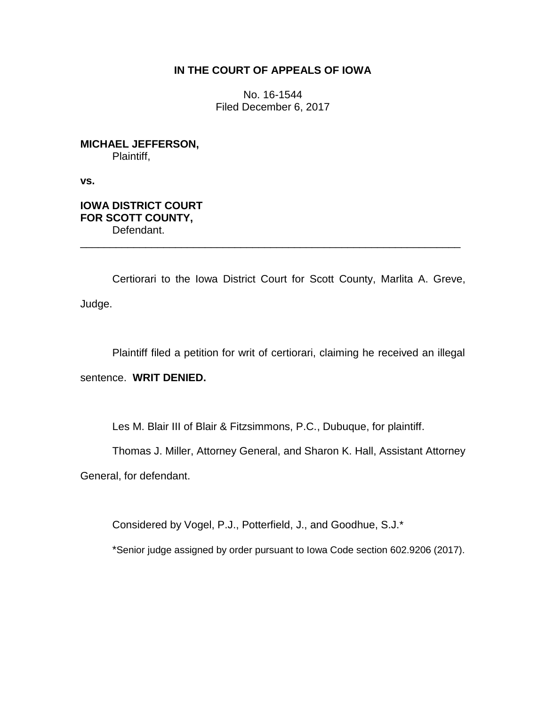# **IN THE COURT OF APPEALS OF IOWA**

No. 16-1544 Filed December 6, 2017

**MICHAEL JEFFERSON,** Plaintiff,

**vs.**

**IOWA DISTRICT COURT FOR SCOTT COUNTY,** Defendant.

Certiorari to the Iowa District Court for Scott County, Marlita A. Greve, Judge.

\_\_\_\_\_\_\_\_\_\_\_\_\_\_\_\_\_\_\_\_\_\_\_\_\_\_\_\_\_\_\_\_\_\_\_\_\_\_\_\_\_\_\_\_\_\_\_\_\_\_\_\_\_\_\_\_\_\_\_\_\_\_\_\_

Plaintiff filed a petition for writ of certiorari, claiming he received an illegal

sentence. **WRIT DENIED.**

Les M. Blair III of Blair & Fitzsimmons, P.C., Dubuque, for plaintiff.

Thomas J. Miller, Attorney General, and Sharon K. Hall, Assistant Attorney

General, for defendant.

Considered by Vogel, P.J., Potterfield, J., and Goodhue, S.J.\*

\*Senior judge assigned by order pursuant to Iowa Code section 602.9206 (2017).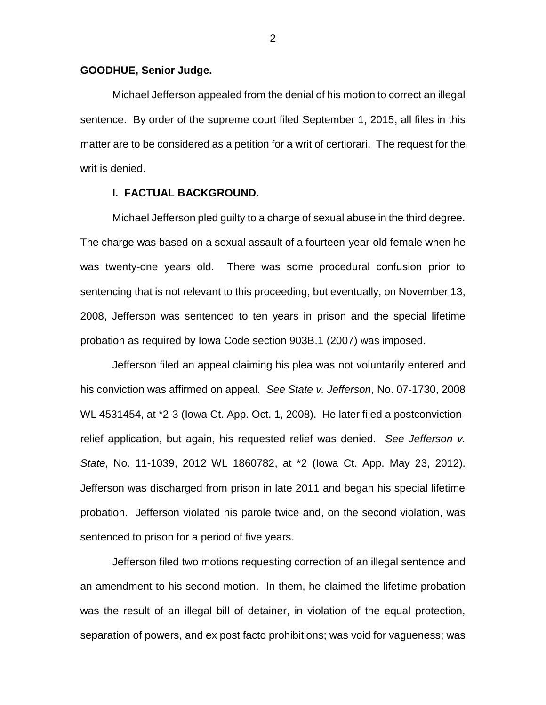## **GOODHUE, Senior Judge.**

Michael Jefferson appealed from the denial of his motion to correct an illegal sentence. By order of the supreme court filed September 1, 2015, all files in this matter are to be considered as a petition for a writ of certiorari. The request for the writ is denied.

## **I. FACTUAL BACKGROUND.**

Michael Jefferson pled guilty to a charge of sexual abuse in the third degree. The charge was based on a sexual assault of a fourteen-year-old female when he was twenty-one years old. There was some procedural confusion prior to sentencing that is not relevant to this proceeding, but eventually, on November 13, 2008, Jefferson was sentenced to ten years in prison and the special lifetime probation as required by Iowa Code section 903B.1 (2007) was imposed.

Jefferson filed an appeal claiming his plea was not voluntarily entered and his conviction was affirmed on appeal. *See State v. Jefferson*, No. 07-1730, 2008 WL 4531454, at \*2-3 (Iowa Ct. App. Oct. 1, 2008). He later filed a postconvictionrelief application, but again, his requested relief was denied. *See Jefferson v. State*, No. 11-1039, 2012 WL 1860782, at \*2 (Iowa Ct. App. May 23, 2012). Jefferson was discharged from prison in late 2011 and began his special lifetime probation. Jefferson violated his parole twice and, on the second violation, was sentenced to prison for a period of five years.

Jefferson filed two motions requesting correction of an illegal sentence and an amendment to his second motion. In them, he claimed the lifetime probation was the result of an illegal bill of detainer, in violation of the equal protection, separation of powers, and ex post facto prohibitions; was void for vagueness; was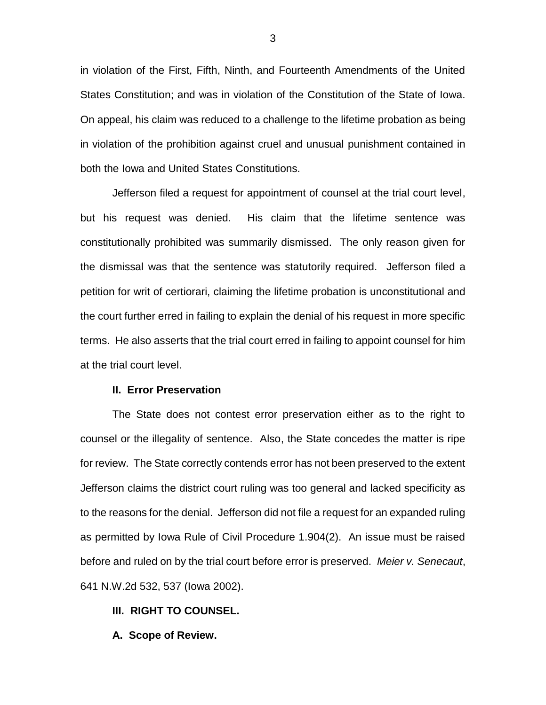in violation of the First, Fifth, Ninth, and Fourteenth Amendments of the United States Constitution; and was in violation of the Constitution of the State of Iowa. On appeal, his claim was reduced to a challenge to the lifetime probation as being in violation of the prohibition against cruel and unusual punishment contained in both the Iowa and United States Constitutions.

Jefferson filed a request for appointment of counsel at the trial court level, but his request was denied. His claim that the lifetime sentence was constitutionally prohibited was summarily dismissed. The only reason given for the dismissal was that the sentence was statutorily required. Jefferson filed a petition for writ of certiorari, claiming the lifetime probation is unconstitutional and the court further erred in failing to explain the denial of his request in more specific terms. He also asserts that the trial court erred in failing to appoint counsel for him at the trial court level.

## **II. Error Preservation**

The State does not contest error preservation either as to the right to counsel or the illegality of sentence. Also, the State concedes the matter is ripe for review. The State correctly contends error has not been preserved to the extent Jefferson claims the district court ruling was too general and lacked specificity as to the reasons for the denial. Jefferson did not file a request for an expanded ruling as permitted by Iowa Rule of Civil Procedure 1.904(2). An issue must be raised before and ruled on by the trial court before error is preserved. *Meier v. Senecaut*, 641 N.W.2d 532, 537 (Iowa 2002).

## **III. RIGHT TO COUNSEL.**

**A. Scope of Review.**

3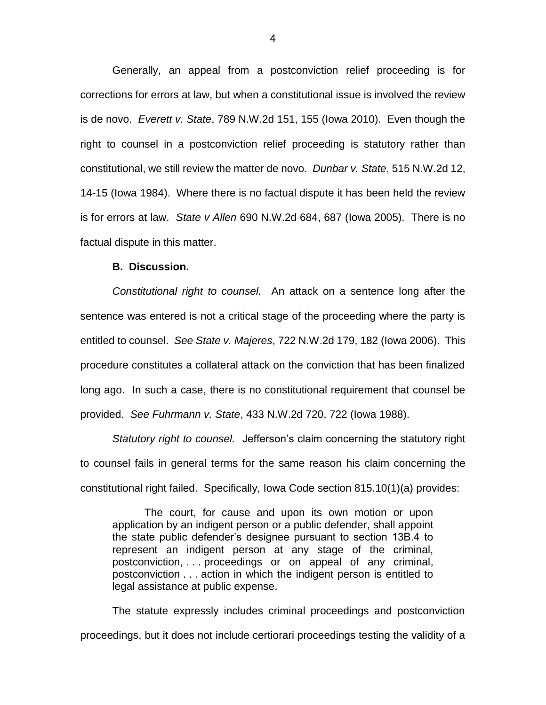Generally, an appeal from a postconviction relief proceeding is for corrections for errors at law, but when a constitutional issue is involved the review is de novo. *Everett v. State*, 789 N.W.2d 151, 155 (Iowa 2010). Even though the right to counsel in a postconviction relief proceeding is statutory rather than constitutional, we still review the matter de novo. *Dunbar v. State*, 515 N.W.2d 12, 14-15 (Iowa 1984). Where there is no factual dispute it has been held the review is for errors at law. *State v Allen* 690 N.W.2d 684, 687 (Iowa 2005). There is no factual dispute in this matter.

### **B. Discussion.**

*Constitutional right to counsel.* An attack on a sentence long after the sentence was entered is not a critical stage of the proceeding where the party is entitled to counsel. *See State v. Majeres*, 722 N.W.2d 179, 182 (Iowa 2006). This procedure constitutes a collateral attack on the conviction that has been finalized long ago. In such a case, there is no constitutional requirement that counsel be provided. *See Fuhrmann v. State*, 433 N.W.2d 720, 722 (Iowa 1988).

*Statutory right to counsel.* Jefferson's claim concerning the statutory right to counsel fails in general terms for the same reason his claim concerning the constitutional right failed. Specifically, Iowa Code section 815.10(1)(a) provides:

The court, for cause and upon its own motion or upon application by an indigent person or a public defender, shall appoint the state public defender's designee pursuant to section 13B.4 to represent an indigent person at any stage of the criminal, postconviction, . . . proceedings or on appeal of any criminal, postconviction . . . action in which the indigent person is entitled to legal assistance at public expense.

The statute expressly includes criminal proceedings and postconviction proceedings, but it does not include certiorari proceedings testing the validity of a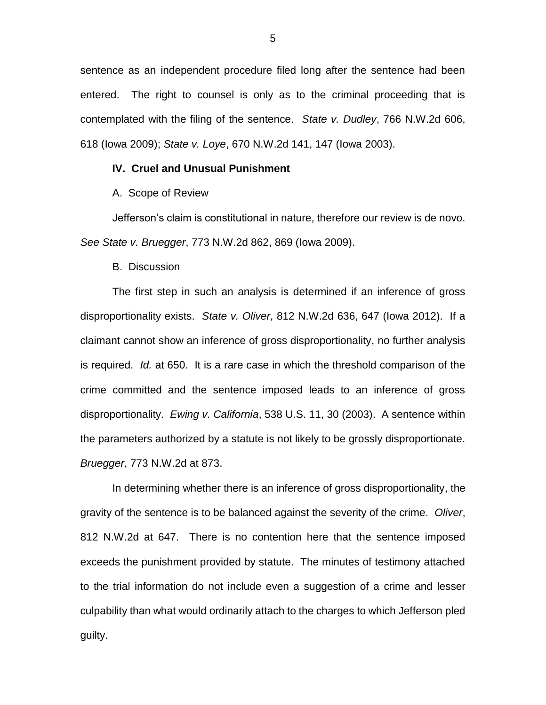sentence as an independent procedure filed long after the sentence had been entered. The right to counsel is only as to the criminal proceeding that is contemplated with the filing of the sentence. *State v. Dudley*, 766 N.W.2d 606, 618 (Iowa 2009); *State v. Loye*, 670 N.W.2d 141, 147 (Iowa 2003).

## **IV. Cruel and Unusual Punishment**

A. Scope of Review

Jefferson's claim is constitutional in nature, therefore our review is de novo. *See State v. Bruegger*, 773 N.W.2d 862, 869 (Iowa 2009).

B. Discussion

The first step in such an analysis is determined if an inference of gross disproportionality exists. *State v. Oliver*, 812 N.W.2d 636, 647 (Iowa 2012). If a claimant cannot show an inference of gross disproportionality, no further analysis is required. *Id.* at 650. It is a rare case in which the threshold comparison of the crime committed and the sentence imposed leads to an inference of gross disproportionality. *Ewing v. California*, 538 U.S. 11, 30 (2003). A sentence within the parameters authorized by a statute is not likely to be grossly disproportionate. *Bruegger*, 773 N.W.2d at 873.

In determining whether there is an inference of gross disproportionality, the gravity of the sentence is to be balanced against the severity of the crime. *Oliver*, 812 N.W.2d at 647. There is no contention here that the sentence imposed exceeds the punishment provided by statute. The minutes of testimony attached to the trial information do not include even a suggestion of a crime and lesser culpability than what would ordinarily attach to the charges to which Jefferson pled guilty.